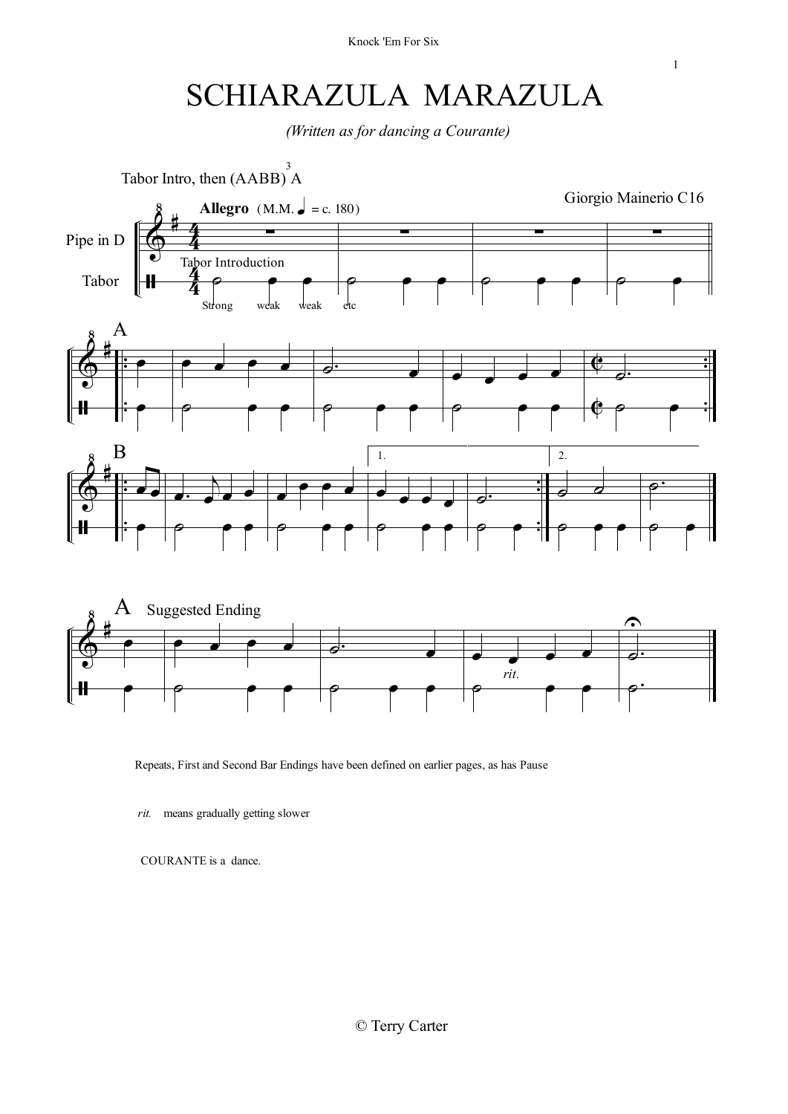# SCHIARAZULA MARAZULA

*(Written as for dancing a Courante)*



Repeats, First and Second Bar Endings have been defined on earlier pages, as has Pause

*rit.* means gradually getting slower

COURANTE is a dance.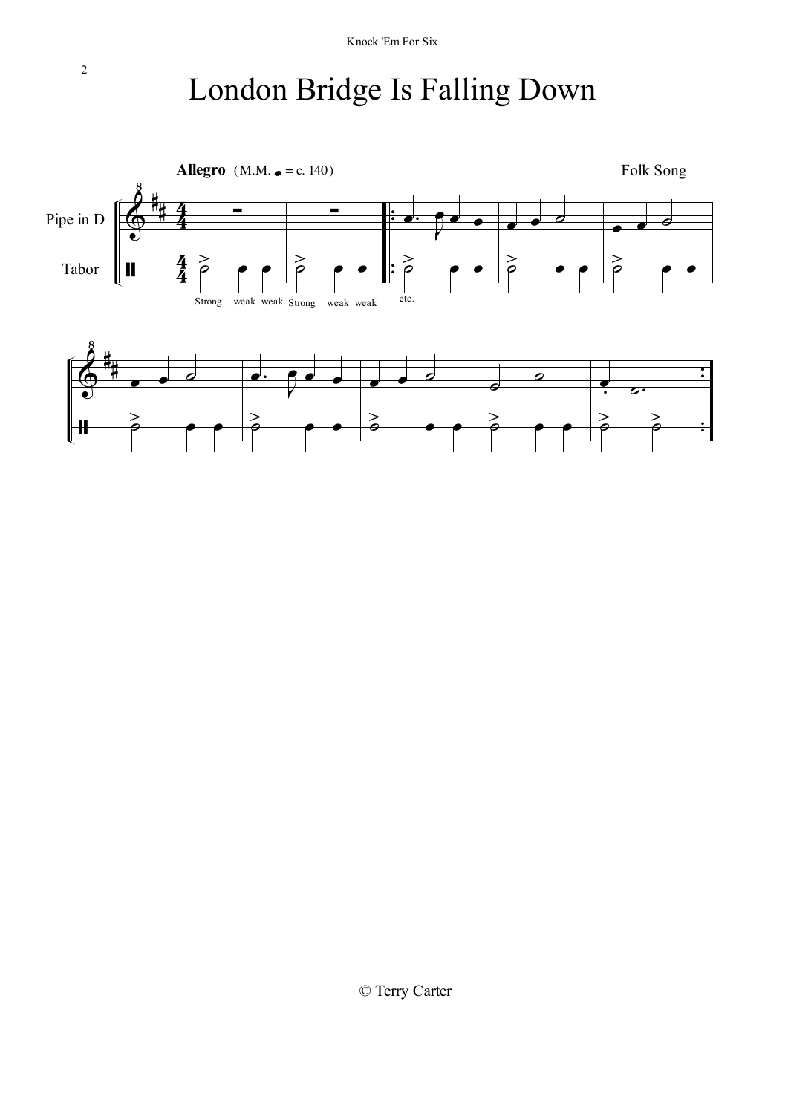# London Bridge Is Falling Down



2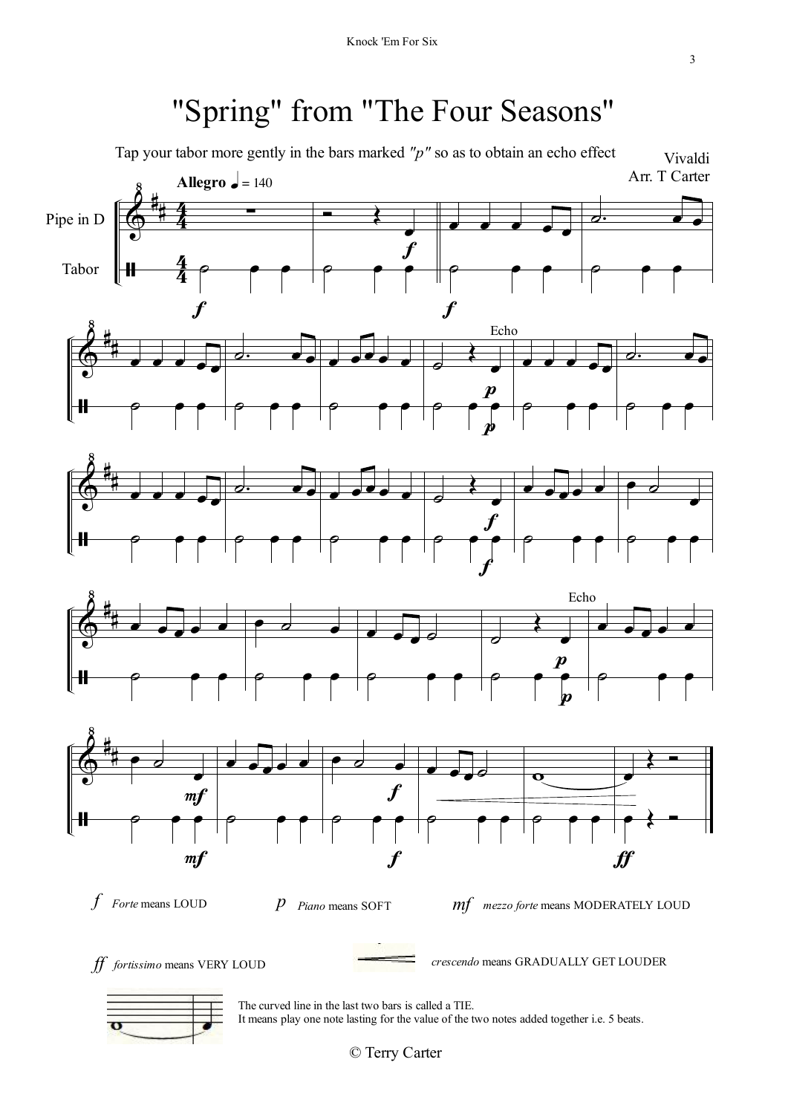## "Spring" from "The Four Seasons"





The curved line in the last two bars is called a TIE. It means play one note lasting for the value of the two notes added together i.e. 5 beats.

© Terry Carter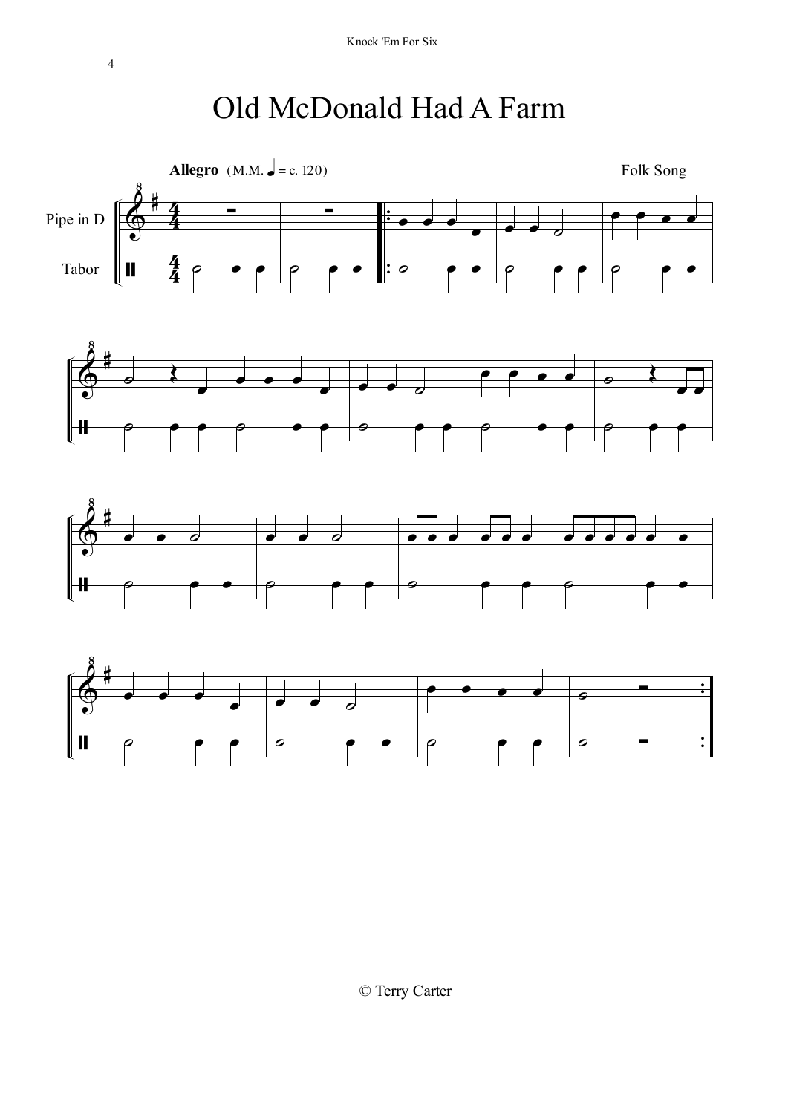#### Old McDonald Had A Farm







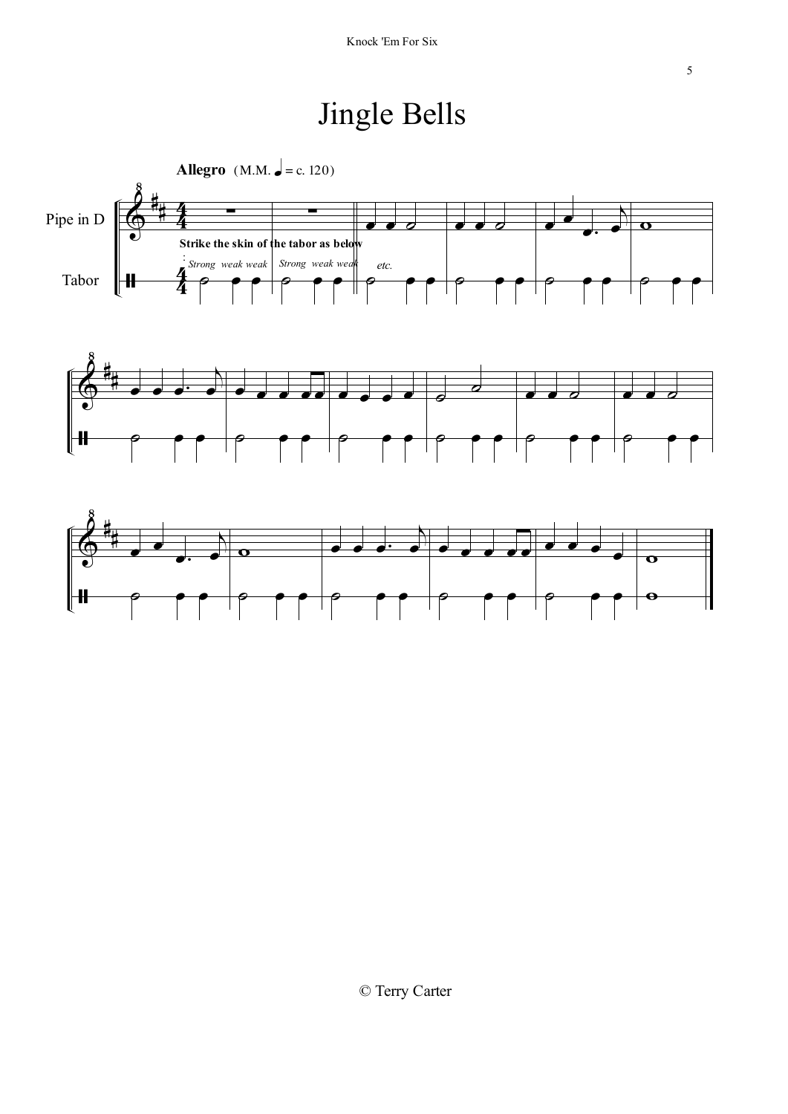# Jingle Bells